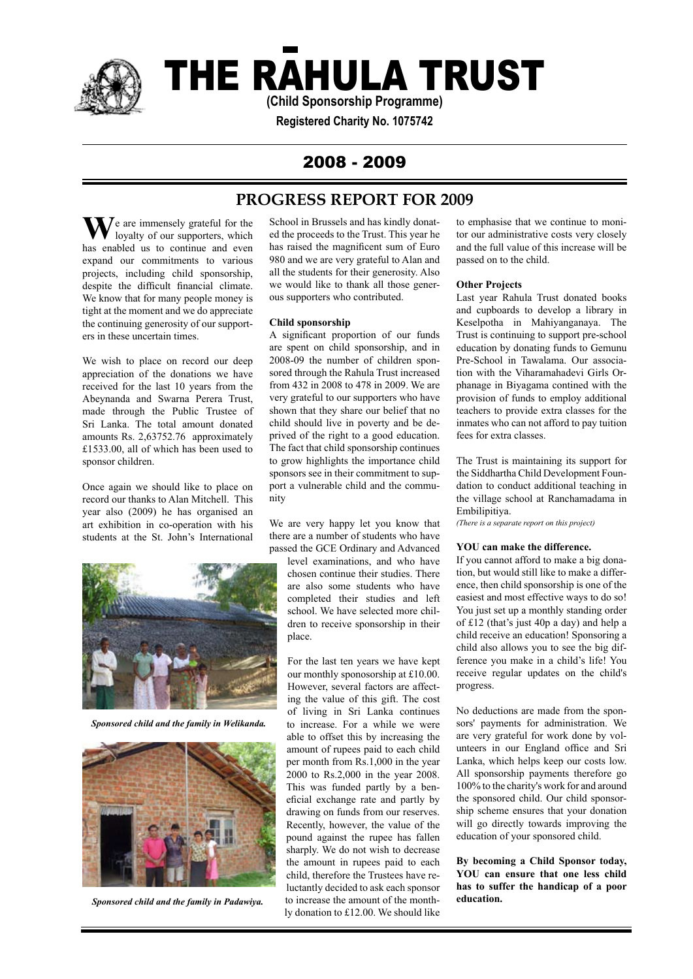

# THE RAHULA TRUST

**(Child Sponsorship Programme)**

**Registered Charity No. 1075742**

# 2008 - 2009

# **PROGRESS REPORT FOR 2009**

**W**e are immensely grateful for the loyalty of our supporters, which has enabled us to continue and even expand our commitments to various projects, including child sponsorship, despite the difficult financial climate. We know that for many people money is tight at the moment and we do appreciate the continuing generosity of our supporters in these uncertain times.

We wish to place on record our deep appreciation of the donations we have received for the last 10 years from the Abeynanda and Swarna Perera Trust, made through the Public Trustee of Sri Lanka. The total amount donated amounts Rs. 2,63752.76 approximately £1533.00, all of which has been used to sponsor children.

Once again we should like to place on record our thanks to Alan Mitchell. This year also (2009) he has organised an art exhibition in co-operation with his students at the St. John's International



*Sponsored child and the family in Welikanda.*



*Sponsored child and the family in Padawiya.*

School in Brussels and has kindly donated the proceeds to the Trust. This year he has raised the magnificent sum of Euro 980 and we are very grateful to Alan and all the students for their generosity. Also we would like to thank all those generous supporters who contributed.

#### **Child sponsorship**

A significant proportion of our funds are spent on child sponsorship, and in 2008-09 the number of children sponsored through the Rahula Trust increased from 432 in 2008 to 478 in 2009. We are very grateful to our supporters who have shown that they share our belief that no child should live in poverty and be deprived of the right to a good education. The fact that child sponsorship continues to grow highlights the importance child sponsors see in their commitment to support a vulnerable child and the community

We are very happy let you know that there are a number of students who have passed the GCE Ordinary and Advanced

level examinations, and who have chosen continue their studies. There are also some students who have completed their studies and left school. We have selected more children to receive sponsorship in their place.

For the last ten years we have kept our monthly sponosorship at £10.00. However, several factors are affecting the value of this gift. The cost of living in Sri Lanka continues to increase. For a while we were able to offset this by increasing the amount of rupees paid to each child per month from Rs.1,000 in the year 2000 to Rs.2,000 in the year 2008. This was funded partly by a beneficial exchange rate and partly by drawing on funds from our reserves. Recently, however, the value of the pound against the rupee has fallen sharply. We do not wish to decrease the amount in rupees paid to each child, therefore the Trustees have reluctantly decided to ask each sponsor to increase the amount of the monthly donation to £12.00. We should like

to emphasise that we continue to monitor our administrative costs very closely and the full value of this increase will be passed on to the child.

#### **Other Projects**

Last year Rahula Trust donated books and cupboards to develop a library in Keselpotha in Mahiyanganaya. The Trust is continuing to support pre-school education by donating funds to Gemunu Pre-School in Tawalama. Our association with the Viharamahadevi Girls Orphanage in Biyagama contined with the provision of funds to employ additional teachers to provide extra classes for the inmates who can not afford to pay tuition fees for extra classes.

The Trust is maintaining its support for the Siddhartha Child Development Foundation to conduct additional teaching in the village school at Ranchamadama in Embilipitiya.

*(There is a separate report on this project)*

#### **YOU can make the difference.**

If you cannot afford to make a big donation, but would still like to make a difference, then child sponsorship is one of the easiest and most effective ways to do so! You just set up a monthly standing order of £12 (that's just 40p a day) and help a child receive an education! Sponsoring a child also allows you to see the big difference you make in a child's life! You receive regular updates on the child's progress.

No deductions are made from the sponsors' payments for administration. We are very grateful for work done by volunteers in our England office and Sri Lanka, which helps keep our costs low. All sponsorship payments therefore go 100% to the charity's work for and around the sponsored child. Our child sponsorship scheme ensures that your donation will go directly towards improving the education of your sponsored child.

**By becoming a Child Sponsor today, YOU can ensure that one less child has to suffer the handicap of a poor education.**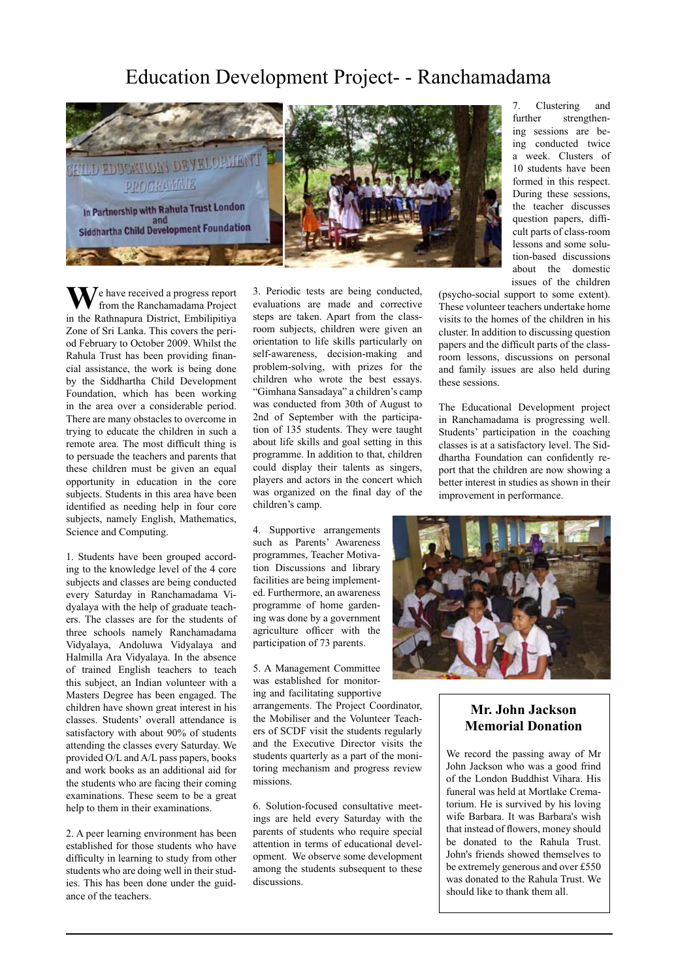# Education Development Project- - Ranchamadama



We have received a progress report from the Ranchamadama Project in the Rathnapura District, Embilipitiya Zone of Sri Lanka. This covers the period February to October 2009. Whilst the Rahula Trust has been providing financial assistance, the work is being done by the Siddhartha Child Development Foundation, which has been working in the area over a considerable period. There are many obstacles to overcome in trying to educate the children in such a remote area. The most difficult thing is to persuade the teachers and parents that these children must be given an equal opportunity in education in the core subjects. Students in this area have been identified as needing help in four core subjects, namely English, Mathematics, Science and Computing.

1. Students have been grouped according to the knowledge level of the 4 core subjects and classes are being conducted every Saturday in Ranchamadama Vidyalaya with the help of graduate teachers. The classes are for the students of three schools namely Ranchamadama Vidyalaya, Andoluwa Vidyalaya and Halmilla Ara Vidyalaya. In the absence of trained English teachers to teach this subject, an Indian volunteer with a Masters Degree has been engaged. The children have shown great interest in his classes. Students' overall attendance is satisfactory with about 90% of students attending the classes every Saturday. We provided O/L and A/L pass papers, books and work books as an additional aid for the students who are facing their coming examinations. These seem to be a great help to them in their examinations.

2. A peer learning environment has been established for those students who have difficulty in learning to study from other students who are doing well in their studies. This has been done under the guidance of the teachers.

3. Periodic tests are being conducted, evaluations are made and corrective steps are taken. Apart from the classroom subjects, children were given an orientation to life skills particularly on self-awareness, decision-making and problem-solving, with prizes for the children who wrote the best essays. "Gimhana Sansadaya" a children's camp was conducted from 30th of August to 2nd of September with the participation of 135 students. They were taught about life skills and goal setting in this programme. In addition to that, children could display their talents as singers, players and actors in the concert which was organized on the final day of the children's camp.

4. Supportive arrangements such as Parents' Awareness programmes, Teacher Motivation Discussions and library facilities are being implemented. Furthermore, an awareness programme of home gardening was done by a government agriculture officer with the participation of 73 parents.

5. A Management Committee was established for monitoring and facilitating supportive arrangements. The Project Coordinator, the Mobiliser and the Volunteer Teachers of SCDF visit the students regularly and the Executive Director visits the students quarterly as a part of the monitoring mechanism and progress review missions.

6. Solution-focused consultative meetings are held every Saturday with the parents of students who require special attention in terms of educational development. We observe some development among the students subsequent to these discussions.

7. Clustering and further strengthening sessions are being conducted twice a week. Clusters of 10 students have been formed in this respect. During these sessions, the teacher discusses question papers, difficult parts of class-room lessons and some solution-based discussions about the domestic issues of the children

(psycho-social support to some extent). These volunteer teachers undertake home visits to the homes of the children in his cluster. In addition to discussing question papers and the difficult parts of the classroom lessons, discussions on personal and family issues are also held during these sessions.

The Educational Development project in Ranchamadama is progressing well. Students' participation in the coaching classes is at a satisfactory level. The Siddhartha Foundation can confidently report that the children are now showing a better interest in studies as shown in their improvement in performance.



### **Mr. John Jackson Memorial Donation**

We record the passing away of Mr John Jackson who was a good frind of the London Buddhist Vihara. His funeral was held at Mortlake Crematorium. He is survived by his loving wife Barbara. It was Barbara's wish that instead of flowers, money should be donated to the Rahula Trust. John's friends showed themselves to be extremely generous and over £550 was donated to the Rahula Trust. We should like to thank them all.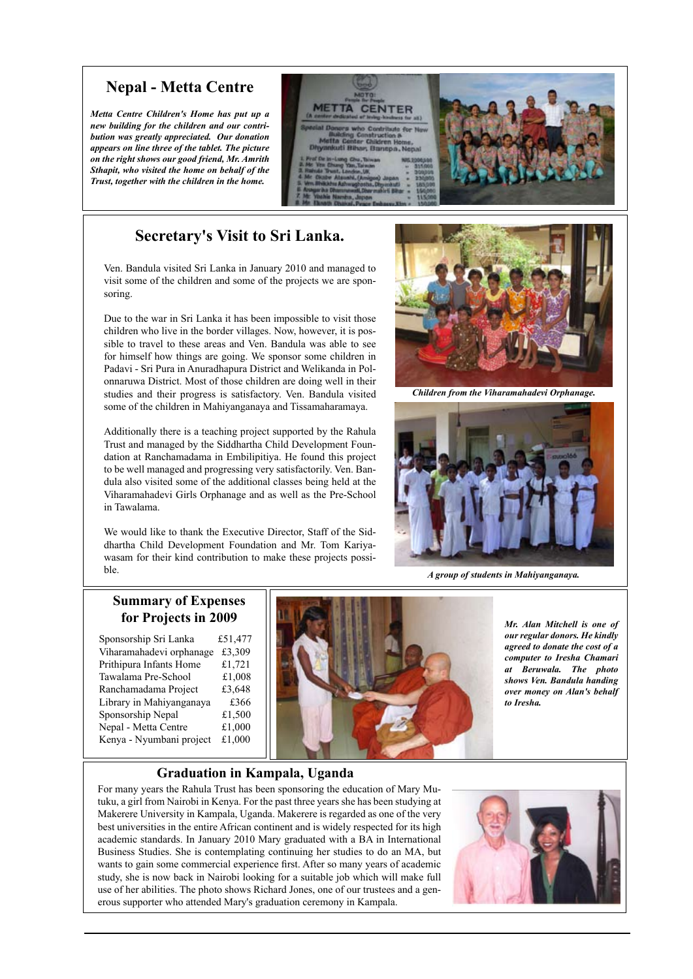

# **Secretary's Visit to Sri Lanka.**

Ven. Bandula visited Sri Lanka in January 2010 and managed to visit some of the children and some of the projects we are sponsoring.

Due to the war in Sri Lanka it has been impossible to visit those children who live in the border villages. Now, however, it is possible to travel to these areas and Ven. Bandula was able to see for himself how things are going. We sponsor some children in Padavi - Sri Pura in Anuradhapura District and Welikanda in Polonnaruwa District. Most of those children are doing well in their studies and their progress is satisfactory. Ven. Bandula visited some of the children in Mahiyanganaya and Tissamaharamaya.

Additionally there is a teaching project supported by the Rahula Trust and managed by the Siddhartha Child Development Foundation at Ranchamadama in Embilipitiya. He found this project to be well managed and progressing very satisfactorily. Ven. Bandula also visited some of the additional classes being held at the Viharamahadevi Girls Orphanage and as well as the Pre-School in Tawalama.

We would like to thank the Executive Director, Staff of the Siddhartha Child Development Foundation and Mr. Tom Kariyawasam for their kind contribution to make these projects possible.



*Children from the Viharamahadevi Orphanage.*



*A group of students in Mahiyanganaya.*

## **Summary of Expenses for Projects in 2009**

Sponsorship Sri Lanka £51,477 Viharamahadevi orphanage £3,309 Prithipura Infants Home £1,721 Tawalama Pre-School £1,008 Ranchamadama Project £3,648 Library in Mahiyanganaya £366 Sponsorship Nepal  $£1,500$ Nepal - Metta Centre £1,000 Kenya - Nyumbani project £1,000



*Mr. Alan Mitchell is one of our regular donors. He kindly agreed to donate the cost of a computer to Iresha Chamari at Beruwala. The photo shows Ven. Bandula handing over money on Alan's behalf to Iresha.* 

#### **Graduation in Kampala, Uganda**

For many years the Rahula Trust has been sponsoring the education of Mary Mutuku, a girl from Nairobi in Kenya. For the past three years she has been studying at Makerere University in Kampala, Uganda. Makerere is regarded as one of the very best universities in the entire African continent and is widely respected for its high academic standards. In January 2010 Mary graduated with a BA in International Business Studies. She is contemplating continuing her studies to do an MA, but wants to gain some commercial experience first. After so many years of academic study, she is now back in Nairobi looking for a suitable job which will make full use of her abilities. The photo shows Richard Jones, one of our trustees and a generous supporter who attended Mary's graduation ceremony in Kampala.

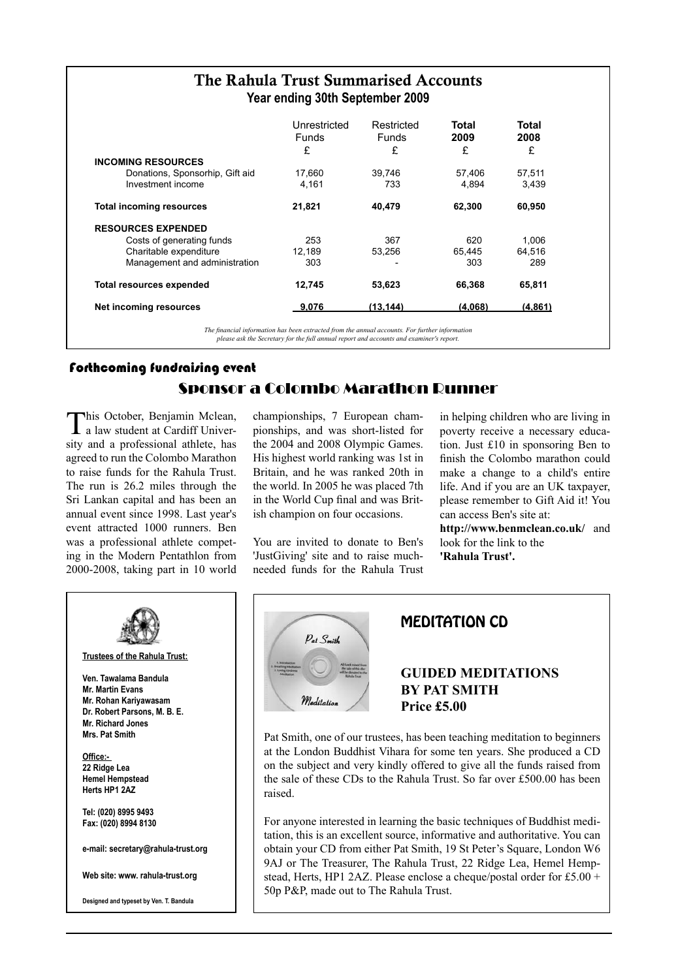| Year ending 30th September 2009 |                                   |                                 |                    |                    |  |  |  |
|---------------------------------|-----------------------------------|---------------------------------|--------------------|--------------------|--|--|--|
|                                 | Unrestricted<br><b>Funds</b><br>£ | Restricted<br><b>Funds</b><br>£ | Total<br>2009<br>£ | Total<br>2008<br>£ |  |  |  |
| <b>INCOMING RESOURCES</b>       |                                   |                                 |                    |                    |  |  |  |
| Donations, Sponsorhip, Gift aid | 17,660                            | 39,746                          | 57,406             | 57,511             |  |  |  |
| Investment income               | 4,161                             | 733                             | 4,894              | 3,439              |  |  |  |
| <b>Total incoming resources</b> | 21,821                            | 40,479                          | 62,300             | 60,950             |  |  |  |
| <b>RESOURCES EXPENDED</b>       |                                   |                                 |                    |                    |  |  |  |
| Costs of generating funds       | 253                               | 367                             | 620                | 1.006              |  |  |  |
| Charitable expenditure          | 12,189                            | 53,256                          | 65,445             | 64,516             |  |  |  |
| Management and administration   | 303                               |                                 | 303                | 289                |  |  |  |
| <b>Total resources expended</b> | 12,745                            | 53,623                          | 66,368             | 65,811             |  |  |  |
| Net incoming resources          | 9,076                             | (13.144)                        | (4,068)            | (4,861)            |  |  |  |

*please ask the Secretary for the full annual report and accounts and examiner's report.*

# Forthcoming fundraising event Sponsor a Colombo Marathon Runner

This October, Benjamin Mclean, a law student at Cardiff University and a professional athlete, has agreed to run the Colombo Marathon to raise funds for the Rahula Trust. The run is 26.2 miles through the Sri Lankan capital and has been an annual event since 1998. Last year's event attracted 1000 runners. Ben was a professional athlete competing in the Modern Pentathlon from 2000-2008, taking part in 10 world

championships, 7 European championships, and was short-listed for the 2004 and 2008 Olympic Games. His highest world ranking was 1st in Britain, and he was ranked 20th in the world. In 2005 he was placed 7th in the World Cup final and was British champion on four occasions.

You are invited to donate to Ben's 'JustGiving' site and to raise muchneeded funds for the Rahula Trust

in helping children who are living in poverty receive a necessary education. Just £10 in sponsoring Ben to finish the Colombo marathon could make a change to a child's entire life. And if you are an UK taxpayer, please remember to Gift Aid it! You can access Ben's site at:

**http://www.benmclean.co.uk/** and look for the link to the **'Rahula Trust'.**





# MEDITATION CD

## **GUIDED MEDITATIONS BY PAT SMITH Price £5.00**

Pat Smith, one of our trustees, has been teaching meditation to beginners at the London Buddhist Vihara for some ten years. She produced a CD on the subject and very kindly offered to give all the funds raised from the sale of these CDs to the Rahula Trust. So far over £500.00 has been raised.

For anyone interested in learning the basic techniques of Buddhist meditation, this is an excellent source, informative and authoritative. You can obtain your CD from either Pat Smith, 19 St Peter's Square, London W6 9AJ or The Treasurer, The Rahula Trust, 22 Ridge Lea, Hemel Hempstead, Herts, HP1 2AZ. Please enclose a cheque/postal order for £5.00 + 50p P&P, made out to The Rahula Trust.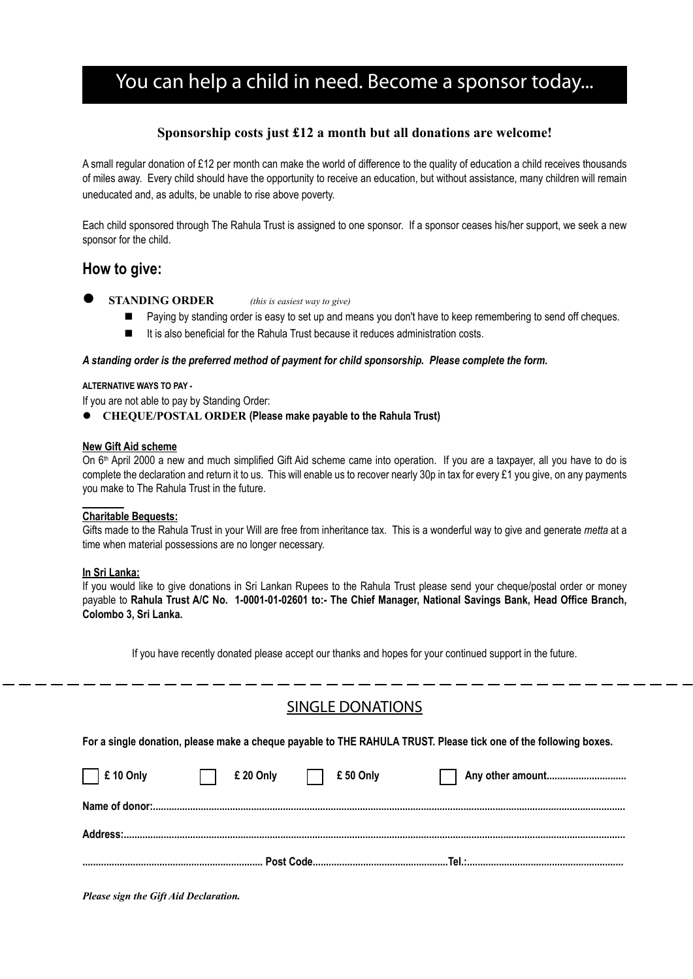# You can help a child in need. Become a sponsor today...

#### **Sponsorship costs just £12 a month but all donations are welcome!**

A small regular donation of £12 per month can make the world of difference to the quality of education a child receives thousands of miles away. Every child should have the opportunity to receive an education, but without assistance, many children will remain uneducated and, as adults, be unable to rise above poverty.

Each child sponsored through The Rahula Trust is assigned to one sponsor. If a sponsor ceases his/her support, we seek a new sponsor for the child.

## **How to give:**

- **STANDING ORDER** *(this is easiest way to give)*
	- Paying by standing order is easy to set up and means you don't have to keep remembering to send off cheques.
	- $\blacksquare$  It is also beneficial for the Rahula Trust because it reduces administration costs.

#### *A standing order is the preferred method of payment for child sponsorship. Please complete the form.*

#### **ALTERNATIVE WAYS TO PAY -**

If you are not able to pay by Standing Order:

**CHEQUE/POSTAL ORDER (Please make payable to the Rahula Trust)** 

#### **New Gift Aid scheme**

On 6<sup>th</sup> April 2000 a new and much simplified Gift Aid scheme came into operation. If you are a taxpayer, all you have to do is complete the declaration and return it to us. This will enable us to recover nearly 30p in tax for every £1 you give, on any payments you make to The Rahula Trust in the future.

#### **Charitable Bequests:**

Gifts made to the Rahula Trust in your Will are free from inheritance tax. This is a wonderful way to give and generate *metta* at a time when material possessions are no longer necessary.

#### **In Sri Lanka:**

If you would like to give donations in Sri Lankan Rupees to the Rahula Trust please send your cheque/postal order or money payable to **Rahula Trust A/C No. 1-0001-01-02601 to:- The Chief Manager, National Savings Bank, Head Office Branch, Colombo 3, Sri Lanka.**

If you have recently donated please accept our thanks and hopes for your continued support in the future.

## SINGLE DONATIONS

**For a single donation, please make a cheque payable to THE RAHULA TRUST. Please tick one of the following boxes.** 

| $\Box$ £ 10 Only | £ 20 Only $\Box$ | £ 50 Only |  |
|------------------|------------------|-----------|--|

*Please sign the Gift Aid Declaration.*